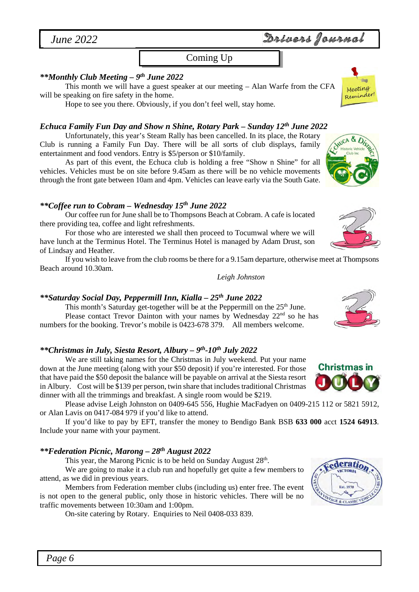*June 2022* 

## Coming Up Coming Up *(or not!)*

## *\*\*Monthly Club Meeting – 9th June 2022*

This month we will have a guest speaker at our meeting – Alan Warfe from the CFA will be speaking on fire safety in the home.

Hope to see you there. Obviously, if you don't feel well, stay home.

### *Echuca Family Fun Day and Show n Shine, Rotary Park – Sunday 12th June 2022*

Unfortunately, this year's Steam Rally has been cancelled. In its place, the Rotary Club is running a Family Fun Day. There will be all sorts of club displays, family entertainment and food vendors. Entry is \$5/person or \$10/family.

As part of this event, the Echuca club is holding a free "Show n Shine" for all vehicles. Vehicles must be on site before 9.45am as there will be no vehicle movements through the front gate between 10am and 4pm. Vehicles can leave early via the South Gate.

### *\*\*Coffee run to Cobram – Wednesday 15th June 2022*

Our coffee run for June shall be to Thompsons Beach at Cobram. A cafe is located there providing tea, coffee and light refreshments.

For those who are interested we shall then proceed to Tocumwal where we will have lunch at the Terminus Hotel. The Terminus Hotel is managed by Adam Drust, son of Lindsay and Heather.

If you wish to leave from the club rooms be there for a 9.15am departure, otherwise meet at Thompsons Beach around 10.30am.

*Leigh Johnston*

### *\*\*Saturday Social Day, Peppermill Inn, Kialla – 25th June 2022*

This month's Saturday get-together will be at the Peppermill on the  $25<sup>th</sup>$  June. Please contact Trevor Dainton with your names by Wednesday 22<sup>nd</sup> so he has numbers for the booking. Trevor's mobile is 0423-678 379. All members welcome.

### *\*\*Christmas in July, Siesta Resort, Albury – 9th-10th July 2022*

We are still taking names for the Christmas in July weekend. Put your name down at the June meeting (along with your \$50 deposit) if you're interested. For those that have paid the \$50 deposit the balance will be payable on arrival at the Siesta resort in Albury. Cost will be \$139 per person, twin share that includes traditional Christmas dinner with all the trimmings and breakfast. A single room would be \$219.

Please advise Leigh Johnston on 0409-645 556, Hughie MacFadyen on 0409-215 112 or 5821 5912, or Alan Lavis on 0417-084 979 if you'd like to attend.

If you'd like to pay by EFT, transfer the money to Bendigo Bank BSB **633 000** acct **1524 64913**. Include your name with your payment.

### *\*\*Federation Picnic, Marong – 28th August 2022*

This year, the Marong Picnic is to be held on Sunday August 28<sup>th</sup>.

We are going to make it a club run and hopefully get quite a few members to attend, as we did in previous years.

Members from Federation member clubs (including us) enter free. The event is not open to the general public, only those in historic vehicles. There will be no traffic movements between 10:30am and 1:00pm.

On-site catering by Rotary. Enquiries to Neil 0408-033 839.





**Christmas in** 



**AGE & CLASSIC** 



**NUCA & Dis** 

# Drivers Journal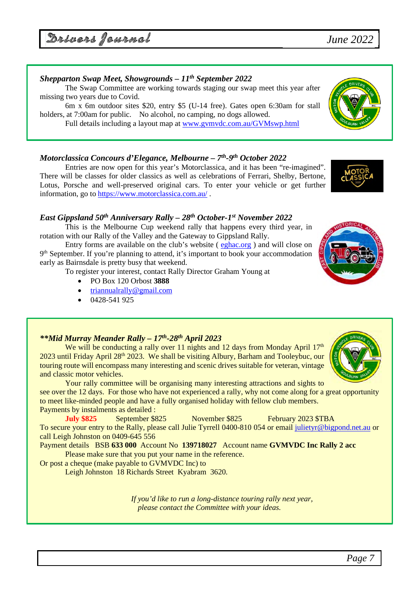*Page 7*

Drivers Journal

## *Shepparton Swap Meet, Showgrounds – 11th September 2022*

The Swap Committee are working towards staging our swap meet this year after missing two years due to Covid.

6m x 6m outdoor sites \$20, entry \$5 (U-14 free). Gates open 6:30am for stall holders, at 7:00am for public. No alcohol, no camping, no dogs allowed.

Full details including a layout map at www.gvmvdc.com.au/GVMswp.html

## *Motorclassica Concours d'Elegance, Melbourne – 7th-9th October 2022*

Entries are now open for this year's Motorclassica, and it has been "re-imagined". There will be classes for older classics as well as celebrations of Ferrari, Shelby, Bertone, Lotus, Porsche and well-preserved original cars. To enter your vehicle or get further information, go to https://www.motorclassica.com.au/ .

## *East Gippsland 50th Anniversary Rally – 28th October-1st November 2022*

This is the Melbourne Cup weekend rally that happens every third year, in rotation with our Rally of the Valley and the Gateway to Gippsland Rally.

Entry forms are available on the club's website ( eghac.org ) and will close on 9<sup>th</sup> September. If you're planning to attend, it's important to book your accommodation early as Bairnsdale is pretty busy that weekend.

To register your interest, contact Rally Director Graham Young at

- PO Box 120 Orbost **3888**
- triannualrally@gmail.com
- 0428-541 925

## *\*\*Mid Murray Meander Rally – 17th-28th April 2023*

We will be conducting a rally over 11 nights and 12 days from Monday April  $17<sup>th</sup>$  $2023$  until Friday April  $28<sup>th</sup> 2023$ . We shall be visiting Albury, Barham and Tooleybuc, our touring route will encompass many interesting and scenic drives suitable for veteran, vintage and classic motor vehicles.

Your rally committee will be organising many interesting attractions and sights to see over the 12 days. For those who have not experienced a rally, why not come along for a great opportunity to meet like-minded people and have a fully organised holiday with fellow club members. Payments by instalments as detailed :

**July \$825** September \$825 November \$825 February 2023 \$TBA To secure your entry to the Rally, please call Julie Tyrrell 0400-810 054 or email julietyr@bigpond.net.au or call Leigh Johnston on 0409-645 556

Payment details BSB **633 000** Account No **139718027** Account name **GVMVDC Inc Rally 2 acc** Please make sure that you put your name in the reference.

Or post a cheque (make payable to GVMVDC Inc) to

Leigh Johnston 18 Richards Street Kyabram 3620.

*If you'd like to run a long-distance touring rally next year, please contact the Committee with your ideas.* 









# *June 2022*